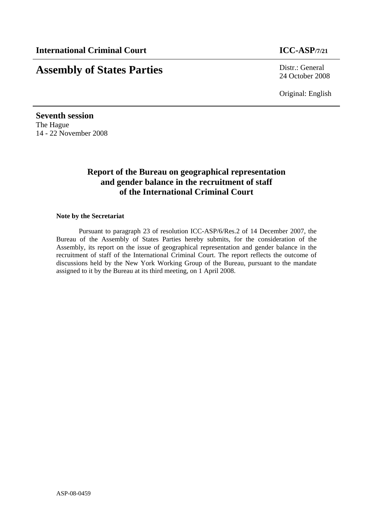# **Assembly of States Parties** Distr.: General

24 October 2008

Original: English

**Seventh session**  The Hague 14 - 22 November 2008

# **Report of the Bureau on geographical representation and gender balance in the recruitment of staff of the International Criminal Court**

#### **Note by the Secretariat**

 Pursuant to paragraph 23 of resolution ICC-ASP/6/Res.2 of 14 December 2007, the Bureau of the Assembly of States Parties hereby submits, for the consideration of the Assembly, its report on the issue of geographical representation and gender balance in the recruitment of staff of the International Criminal Court. The report reflects the outcome of discussions held by the New York Working Group of the Bureau, pursuant to the mandate assigned to it by the Bureau at its third meeting, on 1 April 2008.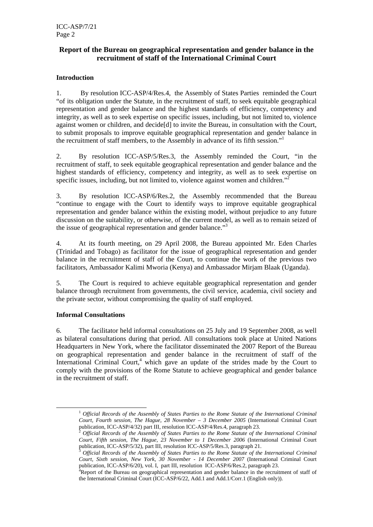## **Report of the Bureau on geographical representation and gender balance in the recruitment of staff of the International Criminal Court**

### **Introduction**

1. By resolution ICC-ASP/4/Res.4, the Assembly of States Parties reminded the Court "of its obligation under the Statute, in the recruitment of staff, to seek equitable geographical representation and gender balance and the highest standards of efficiency, competency and integrity, as well as to seek expertise on specific issues, including, but not limited to, violence against women or children, and decide[d] to invite the Bureau, in consultation with the Court, to submit proposals to improve equitable geographical representation and gender balance in the recruitment of staff members, to the Assembly in advance of its fifth session."1

2. By resolution ICC-ASP/5/Res.3, the Assembly reminded the Court, "in the recruitment of staff, to seek equitable geographical representation and gender balance and the highest standards of efficiency, competency and integrity, as well as to seek expertise on specific issues, including, but not limited to, violence against women and children."

3. By resolution ICC-ASP/6/Res.2, the Assembly recommended that the Bureau "continue to engage with the Court to identify ways to improve equitable geographical representation and gender balance within the existing model, without prejudice to any future discussion on the suitability, or otherwise, of the current model, as well as to remain seized of the issue of geographical representation and gender balance."<sup>3</sup>

4. At its fourth meeting, on 29 April 2008, the Bureau appointed Mr. Eden Charles (Trinidad and Tobago) as facilitator for the issue of geographical representation and gender balance in the recruitment of staff of the Court, to continue the work of the previous two facilitators, Ambassador Kalimi Mworia (Kenya) and Ambassador Mirjam Blaak (Uganda).

5. The Court is required to achieve equitable geographical representation and gender balance through recruitment from governments, the civil service, academia, civil society and the private sector, without compromising the quality of staff employed.

#### **Informal Consultations**

6. The facilitator held informal consultations on 25 July and 19 September 2008, as well as bilateral consultations during that period. All consultations took place at United Nations Headquarters in New York, where the facilitator disseminated the 2007 Report of the Bureau on geographical representation and gender balance in the recruitment of staff of the International Criminal Court,<sup>4</sup> which gave an update of the strides made by the Court to comply with the provisions of the Rome Statute to achieve geographical and gender balance in the recruitment of staff.

<sup>1</sup> *Official Records of the Assembly of States Parties to the Rome Statute of the International Criminal Court, Fourth session, The Hague, 28 November – 3 December 2005* (International Criminal Court publication, ICC-ASP/4/32) part III, resolution ICC-ASP/4/Res.4, paragraph 23.

publication, ICC-ASP/4/32) part III, resolution ICC-ASP/4/Res.4, paragraph 23. 2 *Official Records of the Assembly of States Parties to the Rome Statute of the International Criminal Court, Fifth session, The Hague, 23 November to 1 December 2006* (International Criminal Court

publication, ICC-ASP/5/32), part III, resolution ICC-ASP/5/Res.3, paragraph 21. 3 *Official Records of the Assembly of States Parties to the Rome Statute of the International Criminal Court, Sixth session, New York, 30 November - 14 December 2007* (International Criminal Court publication, ICC-ASP/6/20), vol. I, part III, resolution ICC-ASP/6/Res.2, paragraph 23. 4

<sup>&</sup>lt;sup>4</sup>Report of the Bureau on geographical representation and gender balance in the recruitment of staff of the International Criminal Court (ICC-ASP/6/22, Add.1 and Add.1/Corr.1 (English only)).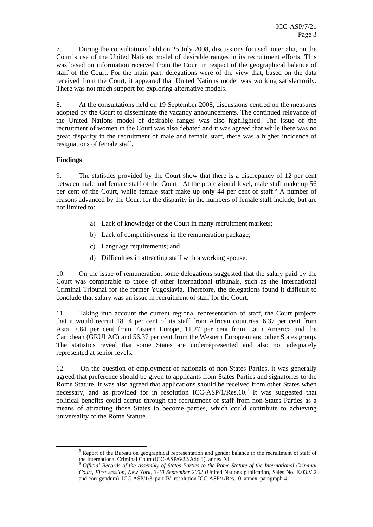7. During the consultations held on 25 July 2008, discussions focused, inter alia, on the Court's use of the United Nations model of desirable ranges in its recruitment efforts. This was based on information received from the Court in respect of the geographical balance of staff of the Court. For the main part, delegations were of the view that, based on the data received from the Court, it appeared that United Nations model was working satisfactorily. There was not much support for exploring alternative models.

8. At the consultations held on 19 September 2008, discussions centred on the measures adopted by the Court to disseminate the vacancy announcements. The continued relevance of the United Nations model of desirable ranges was also highlighted. The issue of the recruitment of women in the Court was also debated and it was agreed that while there was no great disparity in the recruitment of male and female staff, there was a higher incidence of resignations of female staff.

#### **Findings**

9**.** The statistics provided by the Court show that there is a discrepancy of 12 per cent between male and female staff of the Court. At the professional level, male staff make up 56 per cent of the Court, while female staff make up only 44 per cent of staff.<sup>5</sup> A number of reasons advanced by the Court for the disparity in the numbers of female staff include, but are not limited to:

- a) Lack of knowledge of the Court in many recruitment markets;
- b) Lack of competitiveness in the remuneration package;
- c) Language requirements; and
- d) Difficulties in attracting staff with a working spouse.

10. On the issue of remuneration, some delegations suggested that the salary paid by the Court was comparable to those of other international tribunals, such as the International Criminal Tribunal for the former Yugoslavia. Therefore, the delegations found it difficult to conclude that salary was an issue in recruitment of staff for the Court.

11. Taking into account the current regional representation of staff, the Court projects that it would recruit 18.14 per cent of its staff from African countries, 6.37 per cent from Asia, 7.84 per cent from Eastern Europe, 11.27 per cent from Latin America and the Caribbean (GRULAC) and 56.37 per cent from the Western European and other States group. The statistics reveal that some States are underrepresented and also not adequately represented at senior levels.

12. On the question of employment of nationals of non-States Parties, it was generally agreed that preference should be given to applicants from States Parties and signatories to the Rome Statute. It was also agreed that applications should be received from other States when necessary, and as provided for in resolution ICC-ASP/1/Res.10.<sup>6</sup> It was suggested that political benefits could accrue through the recruitment of staff from non-States Parties as a means of attracting those States to become parties, which could contribute to achieving universality of the Rome Statute.

 $\frac{1}{5}$ <sup>5</sup> Report of the Bureau on geographical representation and gender balance in the recruitment of staff of

the International Criminal Court (ICC-ASP/6/22/Add.1), annex XI.<br><sup>6</sup> Official Records of the Assembly of States Parties to the Rome Statute of the International Criminal *Court, First session, New York, 3-10 September 2002* (United Nations publication, Sales No. E.03.V.2 and corrigendum), ICC-ASP/1/3, part IV, resolution ICC-ASP/1/Res.10, annex, paragraph 4.